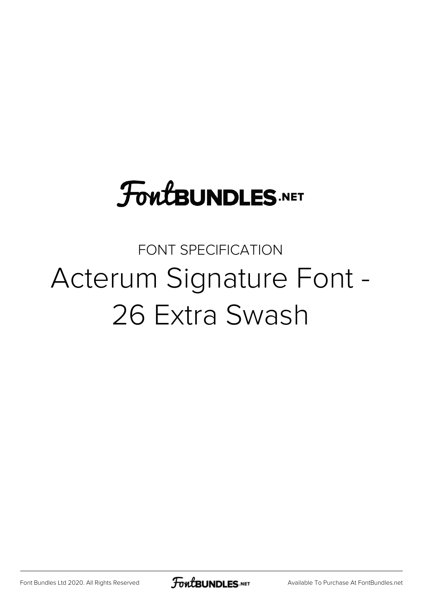# **FoutBUNDLES.NET**

## FONT SPECIFICATION Acterum Signature Font - 26 Extra Swash

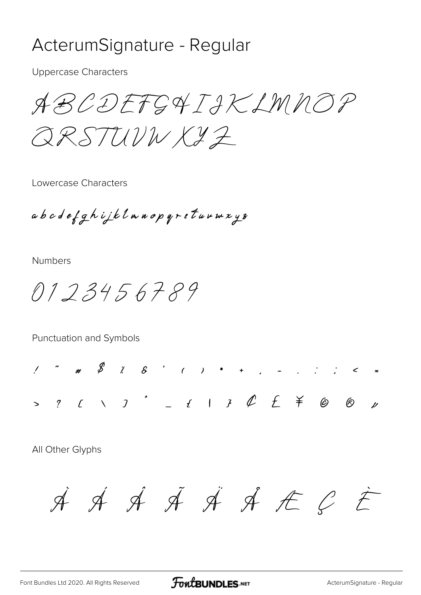#### ActerumSignature - Regular

**Uppercase Characters** 

ABCDEFGAIAKLMNOP

ORSTUVWXYZ

Lowercase Characters

abcdefghijklmnopqrstuumxyz

**Numbers** 

0123456789

Punctuation and Symbols

 $1'$  " #  $8'$  1 8 ' ( ) \* + , - , ; ; < = 

All Other Glyphs

 $\dot{A} \dot{A} \dot{A} \dot{A} \dot{A} \dot{A} C \dot{E}$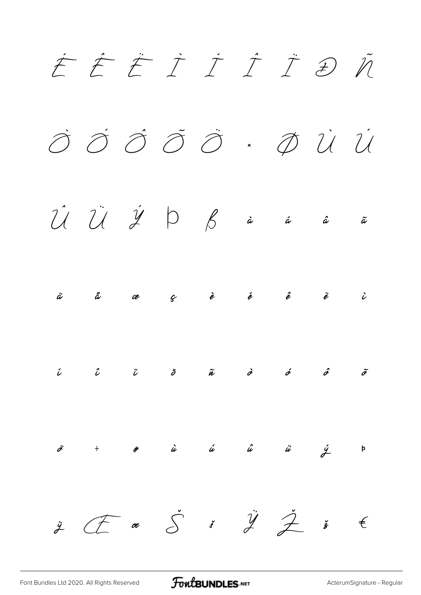

FontBUNDLES.NET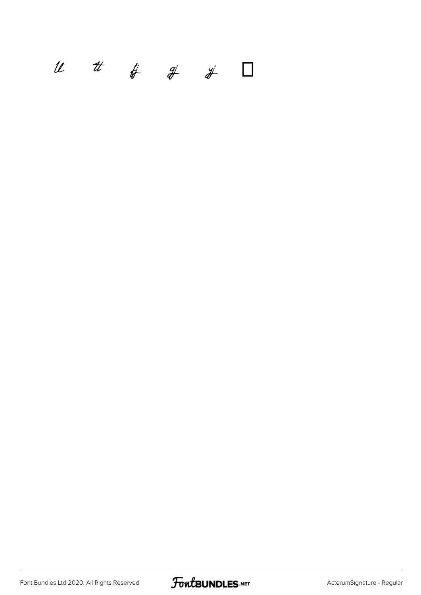### $u$   $t$   $\#$   $\#$   $\#$   $\Box$

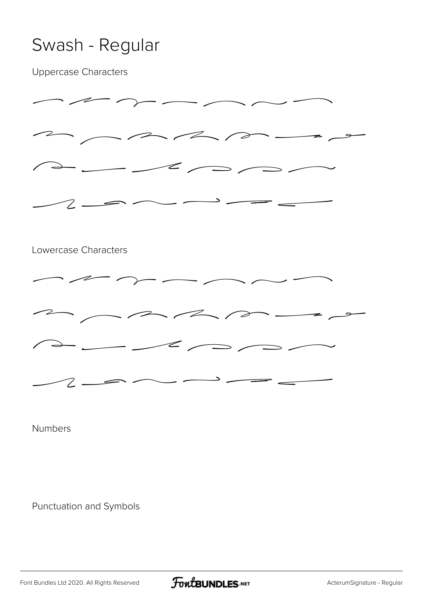### Swash - Regular

Uppercase Characters



Numbers

Punctuation and Symbols

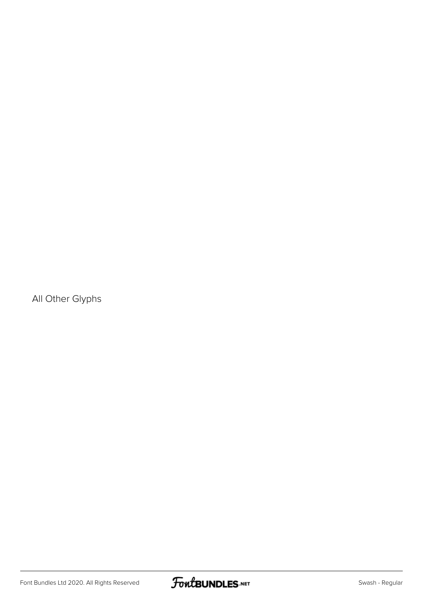All Other Glyphs